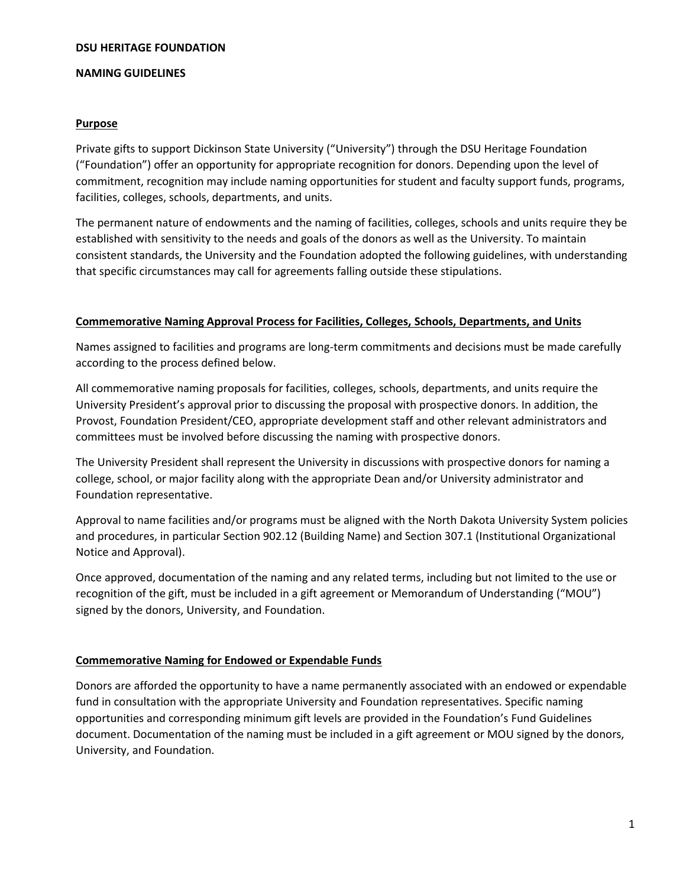#### **DSU HERITAGE FOUNDATION**

#### **NAMING GUIDELINES**

### **Purpose**

Private gifts to support Dickinson State University ("University") through the DSU Heritage Foundation ("Foundation") offer an opportunity for appropriate recognition for donors. Depending upon the level of commitment, recognition may include naming opportunities for student and faculty support funds, programs, facilities, colleges, schools, departments, and units.

The permanent nature of endowments and the naming of facilities, colleges, schools and units require they be established with sensitivity to the needs and goals of the donors as well as the University. To maintain consistent standards, the University and the Foundation adopted the following guidelines, with understanding that specific circumstances may call for agreements falling outside these stipulations.

### **Commemorative Naming Approval Process for Facilities, Colleges, Schools, Departments, and Units**

Names assigned to facilities and programs are long-term commitments and decisions must be made carefully according to the process defined below.

All commemorative naming proposals for facilities, colleges, schools, departments, and units require the University President's approval prior to discussing the proposal with prospective donors. In addition, the Provost, Foundation President/CEO, appropriate development staff and other relevant administrators and committees must be involved before discussing the naming with prospective donors.

The University President shall represent the University in discussions with prospective donors for naming a college, school, or major facility along with the appropriate Dean and/or University administrator and Foundation representative.

Approval to name facilities and/or programs must be aligned with the North Dakota University System policies and procedures, in particular Section 902.12 (Building Name) and Section 307.1 (Institutional Organizational Notice and Approval).

Once approved, documentation of the naming and any related terms, including but not limited to the use or recognition of the gift, must be included in a gift agreement or Memorandum of Understanding ("MOU") signed by the donors, University, and Foundation.

#### **Commemorative Naming for Endowed or Expendable Funds**

Donors are afforded the opportunity to have a name permanently associated with an endowed or expendable fund in consultation with the appropriate University and Foundation representatives. Specific naming opportunities and corresponding minimum gift levels are provided in the Foundation's Fund Guidelines document. Documentation of the naming must be included in a gift agreement or MOU signed by the donors, University, and Foundation.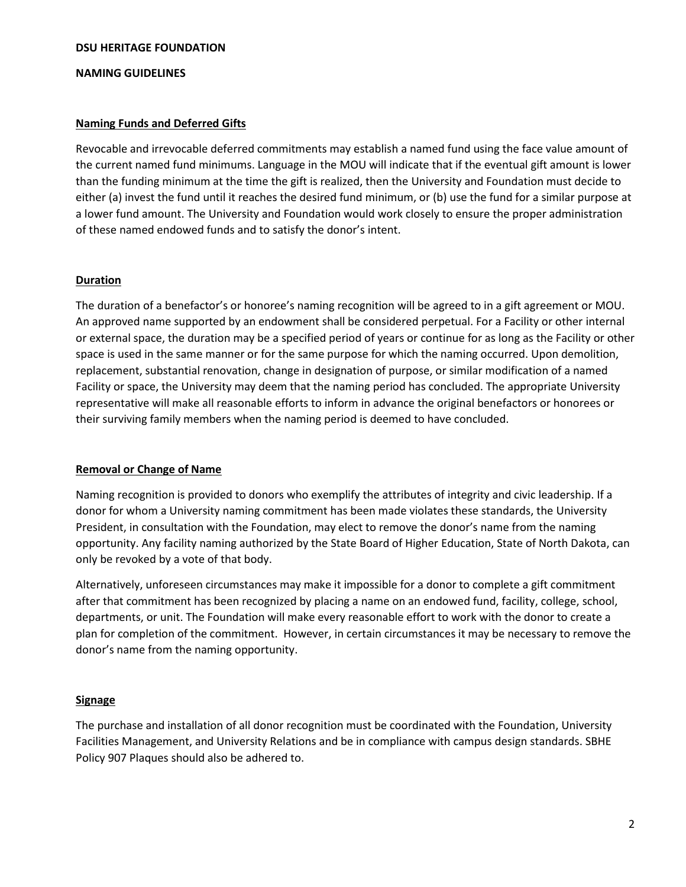#### **DSU HERITAGE FOUNDATION**

#### **NAMING GUIDELINES**

### **Naming Funds and Deferred Gifts**

Revocable and irrevocable deferred commitments may establish a named fund using the face value amount of the current named fund minimums. Language in the MOU will indicate that if the eventual gift amount is lower than the funding minimum at the time the gift is realized, then the University and Foundation must decide to either (a) invest the fund until it reaches the desired fund minimum, or (b) use the fund for a similar purpose at a lower fund amount. The University and Foundation would work closely to ensure the proper administration of these named endowed funds and to satisfy the donor's intent.

## **Duration**

The duration of a benefactor's or honoree's naming recognition will be agreed to in a gift agreement or MOU. An approved name supported by an endowment shall be considered perpetual. For a Facility or other internal or external space, the duration may be a specified period of years or continue for as long as the Facility or other space is used in the same manner or for the same purpose for which the naming occurred. Upon demolition, replacement, substantial renovation, change in designation of purpose, or similar modification of a named Facility or space, the University may deem that the naming period has concluded. The appropriate University representative will make all reasonable efforts to inform in advance the original benefactors or honorees or their surviving family members when the naming period is deemed to have concluded.

## **Removal or Change of Name**

Naming recognition is provided to donors who exemplify the attributes of integrity and civic leadership. If a donor for whom a University naming commitment has been made violates these standards, the University President, in consultation with the Foundation, may elect to remove the donor's name from the naming opportunity. Any facility naming authorized by the State Board of Higher Education, State of North Dakota, can only be revoked by a vote of that body.

Alternatively, unforeseen circumstances may make it impossible for a donor to complete a gift commitment after that commitment has been recognized by placing a name on an endowed fund, facility, college, school, departments, or unit. The Foundation will make every reasonable effort to work with the donor to create a plan for completion of the commitment. However, in certain circumstances it may be necessary to remove the donor's name from the naming opportunity.

## **Signage**

The purchase and installation of all donor recognition must be coordinated with the Foundation, University Facilities Management, and University Relations and be in compliance with campus design standards. SBHE Policy 907 Plaques should also be adhered to.